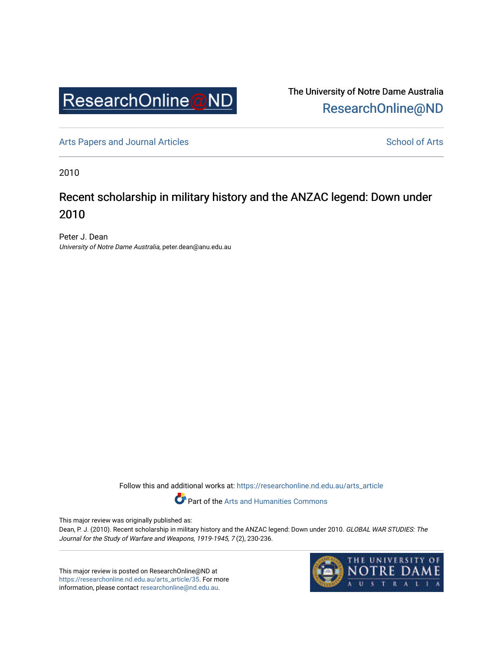

The University of Notre Dame Australia [ResearchOnline@ND](https://researchonline.nd.edu.au/) 

[Arts Papers and Journal Articles](https://researchonline.nd.edu.au/arts_article) and [School of Arts](https://researchonline.nd.edu.au/arts) School of Arts

2010

## Recent scholarship in military history and the ANZAC legend: Down under 2010

Peter J. Dean University of Notre Dame Australia, peter.dean@anu.edu.au

Follow this and additional works at: [https://researchonline.nd.edu.au/arts\\_article](https://researchonline.nd.edu.au/arts_article?utm_source=researchonline.nd.edu.au%2Farts_article%2F35&utm_medium=PDF&utm_campaign=PDFCoverPages) 

Part of the [Arts and Humanities Commons](http://network.bepress.com/hgg/discipline/438?utm_source=researchonline.nd.edu.au%2Farts_article%2F35&utm_medium=PDF&utm_campaign=PDFCoverPages) 

This major review was originally published as:

Dean, P. J. (2010). Recent scholarship in military history and the ANZAC legend: Down under 2010. GLOBAL WAR STUDIES: The Journal for the Study of Warfare and Weapons, 1919-1945, 7 (2), 230-236.

This major review is posted on ResearchOnline@ND at [https://researchonline.nd.edu.au/arts\\_article/35.](https://researchonline.nd.edu.au/arts_article/35) For more information, please contact [researchonline@nd.edu.au.](mailto:researchonline@nd.edu.au)

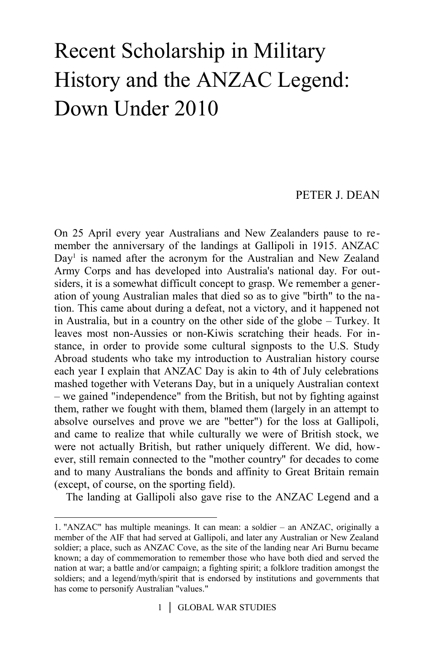## Recent Scholarship in Military History and the ANZAC Legend: Down Under 2010

## PETER J. DEAN

On 25 April every year Australians and New Zealanders pause to remember the anniversary of the landings at Gallipoli in 1915. ANZAC Day<sup>[1](#page-1-0)</sup> is named after the acronym for the Australian and New Zealand Army Corps and has developed into Australia's national day. For outsiders, it is a somewhat difficult concept to grasp. We remember a generation of young Australian males that died so as to give "birth" to the nation. This came about during a defeat, not a victory, and it happened not in Australia, but in a country on the other side of the globe – Turkey. It leaves most non-Aussies or non-Kiwis scratching their heads. For instance, in order to provide some cultural signposts to the U.S. Study Abroad students who take my introduction to Australian history course each year I explain that ANZAC Day is akin to 4th of July celebrations mashed together with Veterans Day, but in a uniquely Australian context – we gained "independence" from the British, but not by fighting against them, rather we fought with them, blamed them (largely in an attempt to absolve ourselves and prove we are "better") for the loss at Gallipoli, and came to realize that while culturally we were of British stock, we were not actually British, but rather uniquely different. We did, however, still remain connected to the "mother country" for decades to come and to many Australians the bonds and affinity to Great Britain remain (except, of course, on the sporting field).

The landing at Gallipoli also gave rise to the ANZAC Legend and a

<span id="page-1-0"></span><sup>1. &</sup>quot;ANZAC" has multiple meanings. It can mean: a soldier – an ANZAC, originally a member of the AIF that had served at Gallipoli, and later any Australian or New Zealand soldier; a place, such as ANZAC Cove, as the site of the landing near Ari Burnu became known; a day of commemoration to remember those who have both died and served the nation at war; a battle and/or campaign; a fighting spirit; a folklore tradition amongst the soldiers; and a legend/myth/spirit that is endorsed by institutions and governments that has come to personify Australian "values."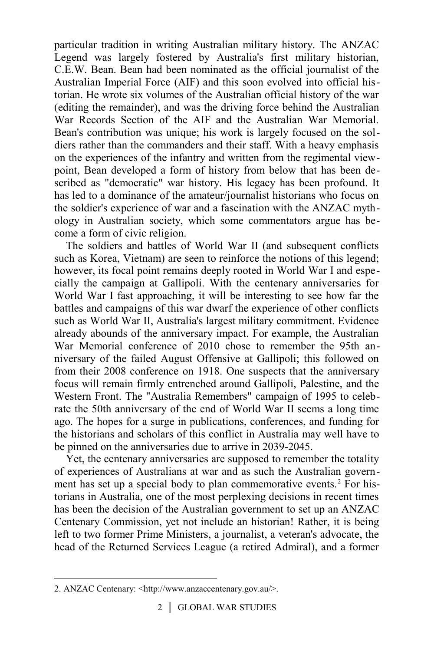particular tradition in writing Australian military history. The ANZAC Legend was largely fostered by Australia's first military historian, C.E.W. Bean. Bean had been nominated as the official journalist of the Australian Imperial Force (AIF) and this soon evolved into official historian. He wrote six volumes of the Australian official history of the war (editing the remainder), and was the driving force behind the Australian War Records Section of the AIF and the Australian War Memorial. Bean's contribution was unique; his work is largely focused on the soldiers rather than the commanders and their staff. With a heavy emphasis on the experiences of the infantry and written from the regimental viewpoint, Bean developed a form of history from below that has been described as "democratic" war history. His legacy has been profound. It has led to a dominance of the amateur/journalist historians who focus on the soldier's experience of war and a fascination with the ANZAC mythology in Australian society, which some commentators argue has become a form of civic religion.

The soldiers and battles of World War II (and subsequent conflicts such as Korea, Vietnam) are seen to reinforce the notions of this legend; however, its focal point remains deeply rooted in World War I and especially the campaign at Gallipoli. With the centenary anniversaries for World War I fast approaching, it will be interesting to see how far the battles and campaigns of this war dwarf the experience of other conflicts such as World War II, Australia's largest military commitment. Evidence already abounds of the anniversary impact. For example, the Australian War Memorial conference of 2010 chose to remember the 95th anniversary of the failed August Offensive at Gallipoli; this followed on from their 2008 conference on 1918. One suspects that the anniversary focus will remain firmly entrenched around Gallipoli, Palestine, and the Western Front. The "Australia Remembers" campaign of 1995 to celebrate the 50th anniversary of the end of World War II seems a long time ago. The hopes for a surge in publications, conferences, and funding for the historians and scholars of this conflict in Australia may well have to be pinned on the anniversaries due to arrive in 2039-2045.

Yet, the centenary anniversaries are supposed to remember the totality of experiences of Australians at war and as such the Australian govern-ment has set up a special body to plan commemorative events.<sup>[2](#page-2-0)</sup> For historians in Australia, one of the most perplexing decisions in recent times has been the decision of the Australian government to set up an ANZAC Centenary Commission, yet not include an historian! Rather, it is being left to two former Prime Ministers, a journalist, a veteran's advocate, the head of the Returned Services League (a retired Admiral), and a former

<span id="page-2-0"></span><sup>2.</sup> ANZAC Centenary: <http://www.anzaccentenary.gov.au/>.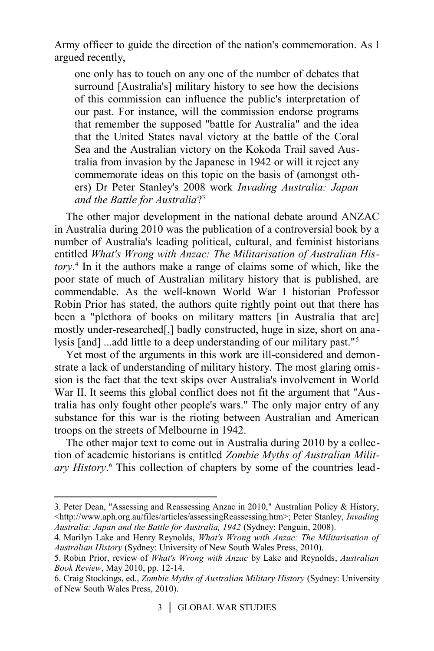Army officer to guide the direction of the nation's commemoration. As I argued recently,

one only has to touch on any one of the number of debates that surround [Australia's] military history to see how the decisions of this commission can influence the public's interpretation of our past. For instance, will the commission endorse programs that remember the supposed "battle for Australia" and the idea that the United States naval victory at the battle of the Coral Sea and the Australian victory on the Kokoda Trail saved Australia from invasion by the Japanese in 1942 or will it reject any commemorate ideas on this topic on the basis of (amongst others) Dr Peter Stanley's 2008 work *Invading Australia: Japan and the Battle for Australia*? [3](#page-3-0)

The other major development in the national debate around ANZAC in Australia during 2010 was the publication of a controversial book by a number of Australia's leading political, cultural, and feminist historians entitled *What's Wrong with Anzac: The Militarisation of Australian History*. [4](#page-3-1) In it the authors make a range of claims some of which, like the poor state of much of Australian military history that is published, are commendable. As the well-known World War I historian Professor Robin Prior has stated, the authors quite rightly point out that there has been a "plethora of books on military matters [in Australia that are] mostly under-researched[,] badly constructed, huge in size, short on analysis [and] ...add little to a deep understanding of our military past."[5](#page-3-2)

Yet most of the arguments in this work are ill-considered and demonstrate a lack of understanding of military history. The most glaring omission is the fact that the text skips over Australia's involvement in World War II. It seems this global conflict does not fit the argument that "Australia has only fought other people's wars." The only major entry of any substance for this war is the rioting between Australian and American troops on the streets of Melbourne in 1942.

The other major text to come out in Australia during 2010 by a collection of academic historians is entitled *Zombie Myths of Australian Milit-*ary History.<sup>[6](#page-3-3)</sup> This collection of chapters by some of the countries lead-

<span id="page-3-0"></span><sup>3.</sup> Peter Dean, "Assessing and Reassessing Anzac in 2010," Australian Policy & History, <http://www.aph.org.au/files/articles/assessingReassessing.htm>; Peter Stanley, *Invading Australia: Japan and the Battle for Australia, 1942* (Sydney: Penguin, 2008).

<span id="page-3-1"></span><sup>4.</sup> Marilyn Lake and Henry Reynolds, *What's Wrong with Anzac: The Militarisation of Australian History* (Sydney: University of New South Wales Press, 2010).

<span id="page-3-2"></span><sup>5.</sup> Robin Prior, review of *What's Wrong with Anzac* by Lake and Reynolds, *Australian Book Review*, May 2010, pp. 12-14.

<span id="page-3-3"></span><sup>6.</sup> Craig Stockings, ed., *Zombie Myths of Australian Military History* (Sydney: University of New South Wales Press, 2010).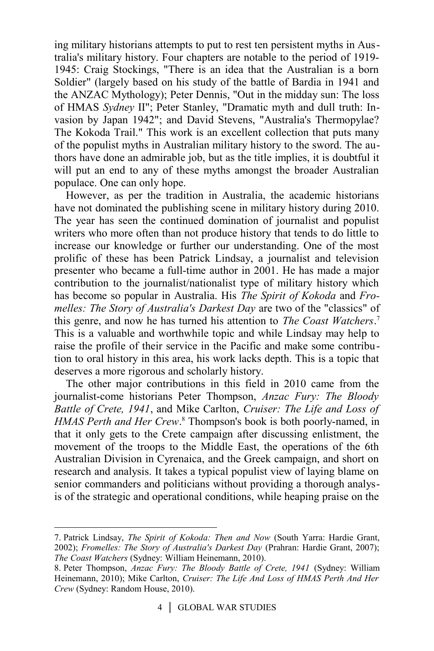ing military historians attempts to put to rest ten persistent myths in Australia's military history. Four chapters are notable to the period of 1919- 1945: Craig Stockings, "There is an idea that the Australian is a born Soldier" (largely based on his study of the battle of Bardia in 1941 and the ANZAC Mythology); Peter Dennis, "Out in the midday sun: The loss of HMAS *Sydney* II"; Peter Stanley, "Dramatic myth and dull truth: Invasion by Japan 1942"; and David Stevens, "Australia's Thermopylae? The Kokoda Trail." This work is an excellent collection that puts many of the populist myths in Australian military history to the sword. The authors have done an admirable job, but as the title implies, it is doubtful it will put an end to any of these myths amongst the broader Australian populace. One can only hope.

However, as per the tradition in Australia, the academic historians have not dominated the publishing scene in military history during 2010. The year has seen the continued domination of journalist and populist writers who more often than not produce history that tends to do little to increase our knowledge or further our understanding. One of the most prolific of these has been Patrick Lindsay, a journalist and television presenter who became a full-time author in 2001. He has made a major contribution to the journalist/nationalist type of military history which has become so popular in Australia. His *The Spirit of Kokoda* and *Fromelles: The Story of Australia's Darkest Day* are two of the "classics" of this genre, and now he has turned his attention to *The Coast Watchers*. [7](#page-4-0) This is a valuable and worthwhile topic and while Lindsay may help to raise the profile of their service in the Pacific and make some contribution to oral history in this area, his work lacks depth. This is a topic that deserves a more rigorous and scholarly history.

The other major contributions in this field in 2010 came from the journalist-come historians Peter Thompson, *Anzac Fury: The Bloody Battle of Crete, 1941*, and Mike Carlton, *Cruiser: The Life and Loss of* HMAS Perth and Her Crew.<sup>[8](#page-4-1)</sup> Thompson's book is both poorly-named, in that it only gets to the Crete campaign after discussing enlistment, the movement of the troops to the Middle East, the operations of the 6th Australian Division in Cyrenaica, and the Greek campaign, and short on research and analysis. It takes a typical populist view of laying blame on senior commanders and politicians without providing a thorough analysis of the strategic and operational conditions, while heaping praise on the

<span id="page-4-0"></span><sup>7.</sup> Patrick Lindsay, *The Spirit of Kokoda: Then and Now* (South Yarra: Hardie Grant, 2002); *Fromelles: The Story of Australia's Darkest Day* (Prahran: Hardie Grant, 2007); *The Coast Watchers* (Sydney: William Heinemann, 2010).

<span id="page-4-1"></span><sup>8.</sup> Peter Thompson, *Anzac Fury: The Bloody Battle of Crete, 1941* (Sydney: William Heinemann, 2010); Mike Carlton, *Cruiser: The Life And Loss of HMAS Perth And Her Crew* (Sydney: Random House, 2010).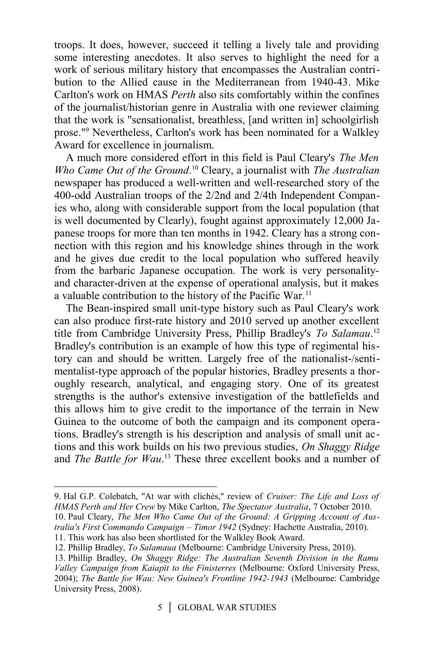troops. It does, however, succeed it telling a lively tale and providing some interesting anecdotes. It also serves to highlight the need for a work of serious military history that encompasses the Australian contribution to the Allied cause in the Mediterranean from 1940-43. Mike Carlton's work on HMAS *Perth* also sits comfortably within the confines of the journalist/historian genre in Australia with one reviewer claiming that the work is "sensationalist, breathless, [and written in] schoolgirlish prose."[9](#page-5-0) Nevertheless, Carlton's work has been nominated for a Walkley Award for excellence in journalism.

A much more considered effort in this field is Paul Cleary's *The Men Who Came Out of the Ground*.<sup>[10](#page-5-1)</sup> Cleary, a journalist with *The Australian* newspaper has produced a well-written and well-researched story of the 400-odd Australian troops of the 2/2nd and 2/4th Independent Companies who, along with considerable support from the local population (that is well documented by Clearly), fought against approximately 12,000 Japanese troops for more than ten months in 1942. Cleary has a strong connection with this region and his knowledge shines through in the work and he gives due credit to the local population who suffered heavily from the barbaric Japanese occupation. The work is very personalityand character-driven at the expense of operational analysis, but it makes a valuable contribution to the history of the Pacific War.<sup>[11](#page-5-2)</sup>

The Bean-inspired small unit-type history such as Paul Cleary's work can also produce first-rate history and 2010 served up another excellent title from Cambridge University Press, Phillip Bradley's *To Salamau*. [12](#page-5-3) Bradley's contribution is an example of how this type of regimental history can and should be written. Largely free of the nationalist-/sentimentalist-type approach of the popular histories, Bradley presents a thoroughly research, analytical, and engaging story. One of its greatest strengths is the author's extensive investigation of the battlefields and this allows him to give credit to the importance of the terrain in New Guinea to the outcome of both the campaign and its component operations. Bradley's strength is his description and analysis of small unit actions and this work builds on his two previous studies, *On Shaggy Ridge* and *The Battle for Wau*. [13](#page-5-4) These three excellent books and a number of

<span id="page-5-1"></span><span id="page-5-0"></span><sup>9.</sup> Hal G.P. Colebatch, "At war with clichés," review of *Cruiser: The Life and Loss of HMAS Perth and Her Crew* by Mike Carlton, *The Spectator Australia*, 7 October 2010. 10. Paul Cleary, *The Men Who Came Out of the Ground: A Gripping Account of Australia's First Commando Campaign – Timor 1942* (Sydney: Hachette Australia, 2010).

<span id="page-5-2"></span><sup>11.</sup> This work has also been shortlisted for the Walkley Book Award.

<span id="page-5-3"></span><sup>12.</sup> Phillip Bradley, *To Salamaua* (Melbourne: Cambridge University Press, 2010).

<span id="page-5-4"></span><sup>13.</sup> Phillip Bradley, *On Shaggy Ridge: The Australian Seventh Division in the Ramu Valley Campaign from Kaiapit to the Finisterres* (Melbourne: Oxford University Press, 2004); *The Battle for Wau: New Guinea's Frontline 1942-1943* (Melbourne: Cambridge University Press, 2008).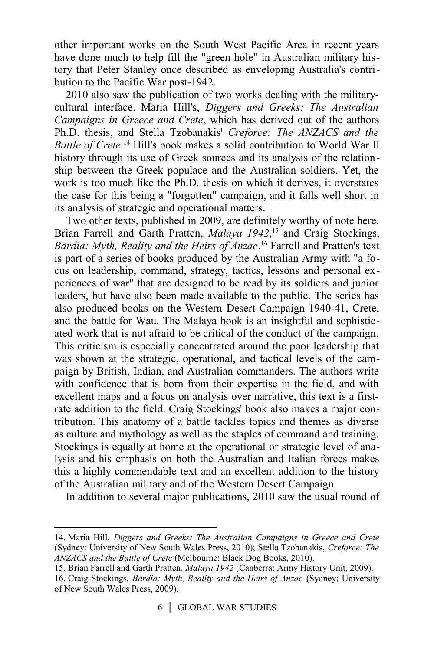other important works on the South West Pacific Area in recent years have done much to help fill the "green hole" in Australian military history that Peter Stanley once described as enveloping Australia's contribution to the Pacific War post-1942.

2010 also saw the publication of two works dealing with the militarycultural interface. Maria Hill's, *Diggers and Greeks: The Australian Campaigns in Greece and Crete*, which has derived out of the authors Ph.D. thesis, and Stella Tzobanakis' *Creforce: The ANZACS and the Battle of Crete*. [14](#page-6-0) Hill's book makes a solid contribution to World War II history through its use of Greek sources and its analysis of the relationship between the Greek populace and the Australian soldiers. Yet, the work is too much like the Ph.D. thesis on which it derives, it overstates the case for this being a "forgotten" campaign, and it falls well short in its analysis of strategic and operational matters.

Two other texts, published in 2009, are definitely worthy of note here. Brian Farrell and Garth Pratten, *Malaya 1942*, [15](#page-6-1) and Craig Stockings, *Bardia: Myth, Reality and the Heirs of Anzac*. [16](#page-6-2) Farrell and Pratten's text is part of a series of books produced by the Australian Army with "a focus on leadership, command, strategy, tactics, lessons and personal experiences of war" that are designed to be read by its soldiers and junior leaders, but have also been made available to the public. The series has also produced books on the Western Desert Campaign 1940-41, Crete, and the battle for Wau. The Malaya book is an insightful and sophisticated work that is not afraid to be critical of the conduct of the campaign. This criticism is especially concentrated around the poor leadership that was shown at the strategic, operational, and tactical levels of the campaign by British, Indian, and Australian commanders. The authors write with confidence that is born from their expertise in the field, and with excellent maps and a focus on analysis over narrative, this text is a firstrate addition to the field. Craig Stockings' book also makes a major contribution. This anatomy of a battle tackles topics and themes as diverse as culture and mythology as well as the staples of command and training. Stockings is equally at home at the operational or strategic level of analysis and his emphasis on both the Australian and Italian forces makes this a highly commendable text and an excellent addition to the history of the Australian military and of the Western Desert Campaign.

In addition to several major publications, 2010 saw the usual round of

<span id="page-6-0"></span><sup>14.</sup> Maria Hill, *Diggers and Greeks: The Australian Campaigns in Greece and Crete* (Sydney: University of New South Wales Press, 2010); Stella Tzobanakis, *Creforce: The ANZACS and the Battle of Crete* (Melbourne: Black Dog Books, 2010).

<span id="page-6-2"></span><span id="page-6-1"></span><sup>15.</sup> Brian Farrell and Garth Pratten, *Malaya 1942* (Canberra: Army History Unit, 2009). 16. Craig Stockings, *Bardia: Myth, Reality and the Heirs of Anzac* (Sydney: University of New South Wales Press, 2009).